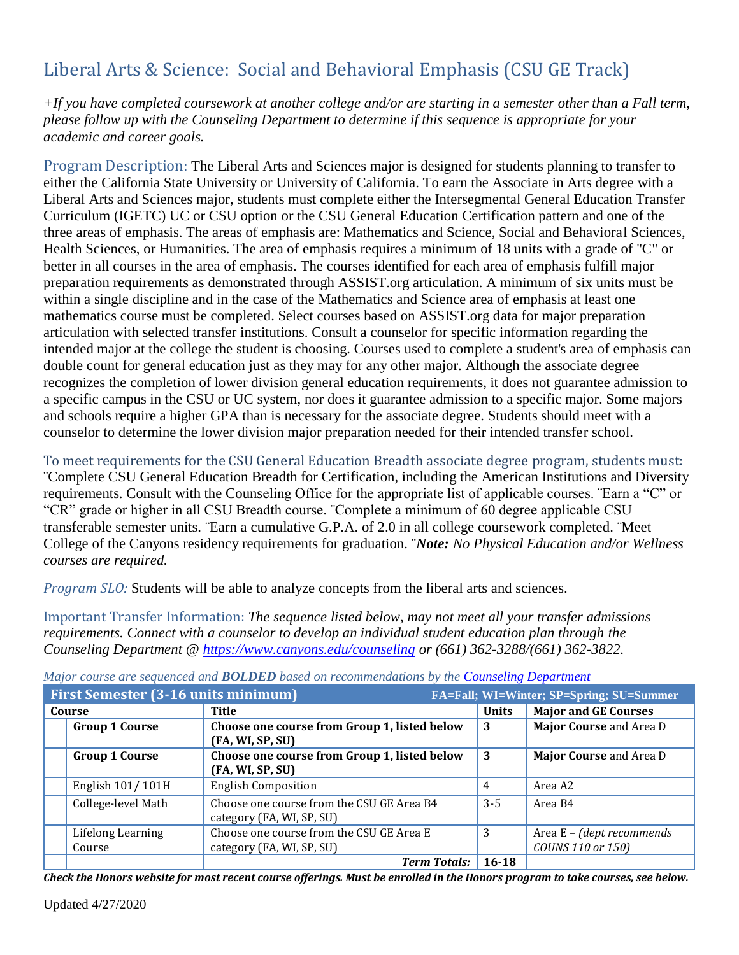## Liberal Arts & Science: Social and Behavioral Emphasis (CSU GE Track)

*+If you have completed coursework at another college and/or are starting in a semester other than a Fall term, please follow up with the Counseling Department to determine if this sequence is appropriate for your academic and career goals.* 

Program Description: The Liberal Arts and Sciences major is designed for students planning to transfer to either the California State University or University of California. To earn the Associate in Arts degree with a Liberal Arts and Sciences major, students must complete either the Intersegmental General Education Transfer Curriculum (IGETC) UC or CSU option or the CSU General Education Certification pattern and one of the three areas of emphasis. The areas of emphasis are: Mathematics and Science, Social and Behavioral Sciences, Health Sciences, or Humanities. The area of emphasis requires a minimum of 18 units with a grade of "C" or better in all courses in the area of emphasis. The courses identified for each area of emphasis fulfill major preparation requirements as demonstrated through ASSIST.org articulation. A minimum of six units must be within a single discipline and in the case of the Mathematics and Science area of emphasis at least one mathematics course must be completed. Select courses based on ASSIST.org data for major preparation articulation with selected transfer institutions. Consult a counselor for specific information regarding the intended major at the college the student is choosing. Courses used to complete a student's area of emphasis can double count for general education just as they may for any other major. Although the associate degree recognizes the completion of lower division general education requirements, it does not guarantee admission to a specific campus in the CSU or UC system, nor does it guarantee admission to a specific major. Some majors and schools require a higher GPA than is necessary for the associate degree. Students should meet with a counselor to determine the lower division major preparation needed for their intended transfer school.

To meet requirements for the CSU General Education Breadth associate degree program, students must: ¨Complete CSU General Education Breadth for Certification, including the American Institutions and Diversity requirements. Consult with the Counseling Office for the appropriate list of applicable courses. ¨Earn a "C" or "CR" grade or higher in all CSU Breadth course. ¨Complete a minimum of 60 degree applicable CSU transferable semester units. ¨Earn a cumulative G.P.A. of 2.0 in all college coursework completed. ¨Meet College of the Canyons residency requirements for graduation. ¨*Note: No Physical Education and/or Wellness courses are required.*

*Program SLO:* Students will be able to analyze concepts from the liberal arts and sciences.

Important Transfer Information: *The sequence listed below, may not meet all your transfer admissions requirements. Connect with a counselor to develop an individual student education plan through the Counseling Department @<https://www.canyons.edu/counseling> or (661) 362-3288/(661) 362-3822.*

| First Semester (3-16 units minimum) |                                                                        |              | FA=Fall; WI=Winter; SP=Spring; SU=Summer       |
|-------------------------------------|------------------------------------------------------------------------|--------------|------------------------------------------------|
| Course                              | <b>Title</b>                                                           | <b>Units</b> | <b>Major and GE Courses</b>                    |
| <b>Group 1 Course</b>               | Choose one course from Group 1, listed below<br>(FA, WI, SP, SU)       | 3            | Major Course and Area D                        |
| <b>Group 1 Course</b>               | Choose one course from Group 1, listed below<br>(FA, WI, SP, SU)       | 3            | Major Course and Area D                        |
| English 101/101H                    | <b>English Composition</b>                                             | 4            | Area A2                                        |
| College-level Math                  | Choose one course from the CSU GE Area B4<br>category (FA, WI, SP, SU) | $3 - 5$      | Area B4                                        |
| Lifelong Learning<br>Course         | Choose one course from the CSU GE Area E<br>category (FA, WI, SP, SU)  | 3            | Area E - (dept recommends<br>COUNS 110 or 150) |
|                                     | <b>Term Totals:</b>                                                    | 16-18        |                                                |

*Major course are sequenced and BOLDED based on recommendations by the [Counseling Department](http://www.canyons.edu/counseling)*

*Check the Honors website for most recent course offerings. Must be enrolled in the Honors program to take courses, see below.*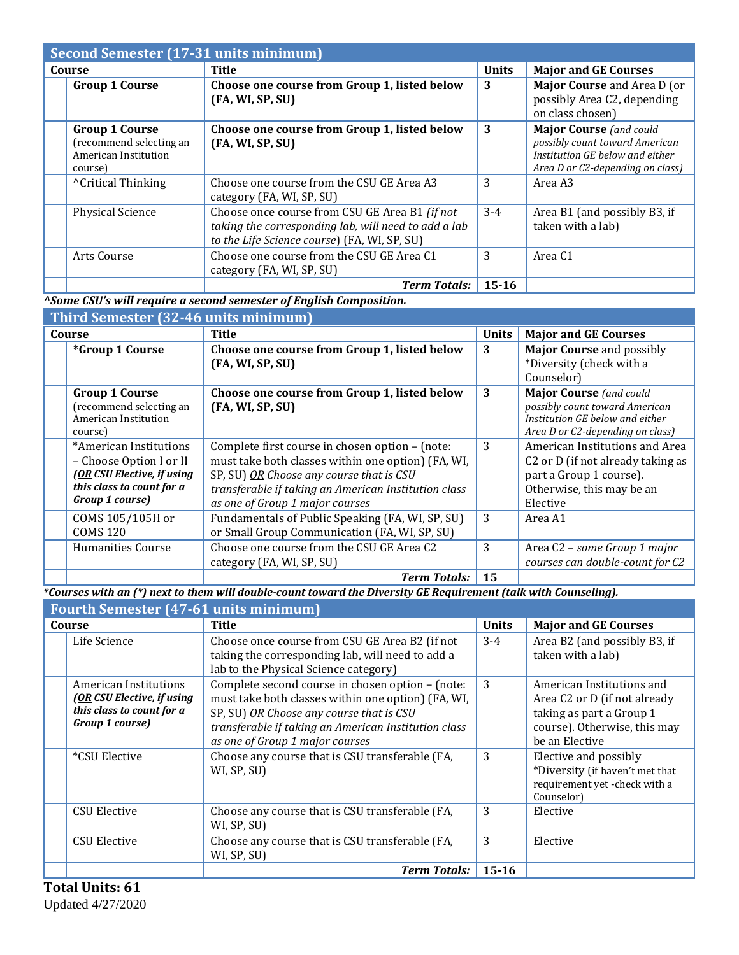| Second Semester (17-31 units minimum)                                               |                                                                                                                                                        |              |                                                                                                                                         |
|-------------------------------------------------------------------------------------|--------------------------------------------------------------------------------------------------------------------------------------------------------|--------------|-----------------------------------------------------------------------------------------------------------------------------------------|
| Course                                                                              | Title                                                                                                                                                  | <b>Units</b> | <b>Major and GE Courses</b>                                                                                                             |
| <b>Group 1 Course</b>                                                               | Choose one course from Group 1, listed below<br>(FA, WI, SP, SU)                                                                                       | 3            | Major Course and Area D (or<br>possibly Area C2, depending<br>on class chosen)                                                          |
| <b>Group 1 Course</b><br>(recommend selecting an<br>American Institution<br>course) | Choose one course from Group 1, listed below<br>(FA, WI, SP, SU)                                                                                       | 3            | <b>Major Course</b> (and could<br>possibly count toward American<br>Institution GE below and either<br>Area D or C2-depending on class) |
| <sup>^</sup> Critical Thinking                                                      | Choose one course from the CSU GE Area A3<br>category (FA, WI, SP, SU)                                                                                 | 3            | Area A3                                                                                                                                 |
| Physical Science                                                                    | Choose once course from CSU GE Area B1 (if not<br>taking the corresponding lab, will need to add a lab<br>to the Life Science course) (FA, WI, SP, SU) | $3-4$        | Area B1 (and possibly B3, if<br>taken with a lab)                                                                                       |
| Arts Course                                                                         | Choose one course from the CSU GE Area C1<br>category (FA, WI, SP, SU)                                                                                 | 3            | Area C <sub>1</sub>                                                                                                                     |
|                                                                                     | <b>Term Totals:</b>                                                                                                                                    | 15-16        |                                                                                                                                         |

*^Some CSU's will require a second semester of English Composition.* 

**Third Semester (32-46 units minimum)**

| THIS WOULDOUGH TO MY WILL BO MALAMATIC MALAMATIC STATES. |                                                      |              |                                               |
|----------------------------------------------------------|------------------------------------------------------|--------------|-----------------------------------------------|
| Course                                                   | Title                                                | <b>Units</b> | <b>Major and GE Courses</b>                   |
| <i>*Group 1 Course</i>                                   | Choose one course from Group 1, listed below         | 3            | <b>Major Course and possibly</b>              |
|                                                          | (FA, WI, SP, SU)                                     |              | *Diversity (check with a                      |
|                                                          |                                                      |              | Counselor)                                    |
| <b>Group 1 Course</b>                                    | Choose one course from Group 1, listed below         | 3            | <b>Major Course</b> (and could                |
| (recommend selecting an                                  | (FA, WI, SP, SU)                                     |              | possibly count toward American                |
| American Institution                                     |                                                      |              | Institution GE below and either               |
| course)                                                  |                                                      |              | Area D or C2-depending on class)              |
| *American Institutions                                   | Complete first course in chosen option - (note:      | 3            | American Institutions and Area                |
| - Choose Option I or II                                  | must take both classes within one option) (FA, WI,   |              | C <sub>2</sub> or D (if not already taking as |
| (OR CSU Elective, if using                               | SP, SU) OR Choose any course that is CSU             |              | part a Group 1 course).                       |
| this class to count for a                                | transferable if taking an American Institution class |              | Otherwise, this may be an                     |
| Group 1 course)                                          | as one of Group 1 major courses                      |              | Elective                                      |
| COMS 105/105H or                                         | Fundamentals of Public Speaking (FA, WI, SP, SU)     | 3            | Area A1                                       |
| <b>COMS 120</b>                                          | or Small Group Communication (FA, WI, SP, SU)        |              |                                               |
| <b>Humanities Course</b>                                 | Choose one course from the CSU GE Area C2            | 3            | Area C2 - some Group 1 major                  |
|                                                          | category (FA, WI, SP, SU)                            |              | courses can double-count for C2               |
|                                                          | <b>Term Totals:</b>                                  | 15           |                                               |

*\*Courses with an (\*) next to them will double-count toward the Diversity GE Requirement (talk with Counseling).*

| <b>Fourth Semester (47-61 units minimum)</b>                                                        |                                                                                                                                                                                                                                               |              |                                                                                                                                                     |
|-----------------------------------------------------------------------------------------------------|-----------------------------------------------------------------------------------------------------------------------------------------------------------------------------------------------------------------------------------------------|--------------|-----------------------------------------------------------------------------------------------------------------------------------------------------|
| Course                                                                                              | Title                                                                                                                                                                                                                                         | <b>Units</b> | <b>Major and GE Courses</b>                                                                                                                         |
| Life Science                                                                                        | Choose once course from CSU GE Area B2 (if not<br>taking the corresponding lab, will need to add a<br>lab to the Physical Science category)                                                                                                   | $3 - 4$      | Area B2 (and possibly B3, if<br>taken with a lab)                                                                                                   |
| American Institutions<br>(OR CSU Elective, if using<br>this class to count for a<br>Group 1 course) | Complete second course in chosen option - (note:<br>must take both classes within one option) (FA, WI,<br>SP, SU) OR Choose any course that is CSU<br>transferable if taking an American Institution class<br>as one of Group 1 major courses | 3            | American Institutions and<br>Area C <sub>2</sub> or D (if not already<br>taking as part a Group 1<br>course). Otherwise, this may<br>be an Elective |
| *CSU Elective                                                                                       | Choose any course that is CSU transferable (FA,<br>WI, SP, SU)                                                                                                                                                                                | 3            | Elective and possibly<br>*Diversity (if haven't met that<br>requirement yet -check with a<br>Counselor)                                             |
| <b>CSU Elective</b>                                                                                 | Choose any course that is CSU transferable (FA,<br>WI, SP, SU)                                                                                                                                                                                | 3            | Elective                                                                                                                                            |
| <b>CSU Elective</b>                                                                                 | Choose any course that is CSU transferable (FA,<br>WI, SP, SU)                                                                                                                                                                                | 3            | Elective                                                                                                                                            |
|                                                                                                     | <b>Term Totals:</b>                                                                                                                                                                                                                           | $15 - 16$    |                                                                                                                                                     |